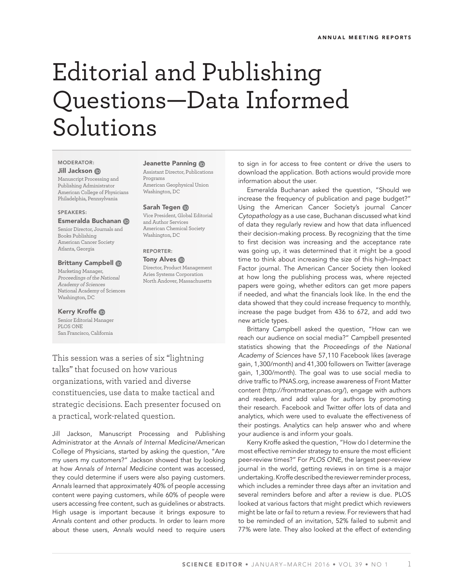# Editorial and Publishing Questions—Data Informed Solutions

### MODERATOR: Jill Jackson

Manuscript Processing and Publishing Administrator American College of Physicians Philadelphia, Pennsylvania

## SPEAKERS:

#### Esmeralda Buchanan

Senior Director, Journals and Books Publishing American Cancer Society Atlanta, Georgia

## Brittany Campbell

Marketing Manager, Proceedings of the National Academy of Sciences National Academy of Sciences Washington, DC

#### Kerry Kroffe

Senior Editorial Manager PLOS ONE San Francisco, California

## Jeanette Panning **®**

Assistant Director, Publications Programs American Geophysical Union Washington, DC

#### Sarah Tegen ®

Vice President, Global Editorial and Author Services American Chemical Society Washington, DC

## REPORTER: Tony Alves **ID**

### Director, Product Management Aries Systems Corporation North Andover, Massachusetts

This session was a series of six "lightning talks" that focused on how various organizations, with varied and diverse constituencies, use data to make tactical and strategic decisions. Each presenter focused on a practical, work-related question.

Jill Jackson, Manuscript Processing and Publishing Administrator at the *Annals of Internal Medicine*/American College of Physicians, started by asking the question, "Are my users my customers?" Jackson showed that by looking at how *Annals of Internal Medicine* content was accessed, they could determine if users were also paying customers. *Annals* learned that approximately 40% of people accessing content were paying customers, while 60% of people were users accessing free content, such as guidelines or abstracts. High usage is important because it brings exposure to *Annals* content and other products. In order to learn more about these users, *Annals* would need to require users to sign in for access to free content or drive the users to download the application. Both actions would provide more information about the user.

Esmeralda Buchanan asked the question, "Should we increase the frequency of publication and page budget?" Using the American Cancer Society's journal *Cancer Cytopathology* as a use case, Buchanan discussed what kind of data they regularly review and how that data influenced their decision-making process. By recognizing that the time to first decision was increasing and the acceptance rate was going up, it was determined that it might be a good time to think about increasing the size of this high–Impact Factor journal. The American Cancer Society then looked at how long the publishing process was, where rejected papers were going, whether editors can get more papers if needed, and what the financials look like. In the end the data showed that they could increase frequency to monthly, increase the page budget from 436 to 672, and add two new article types.

Brittany Campbell asked the question, "How can we reach our audience on social media?" Campbell presented statistics showing that the *Proceedings of the National Academy of Sciences* have 57,110 Facebook likes (average gain, 1,300/month) and 41,300 followers on Twitter (average gain, 1,300/month). The goal was to use social media to drive traffic to PNAS.org, increase awareness of Front Matter content (http://frontmatter.pnas.org/), engage with authors and readers, and add value for authors by promoting their research. Facebook and Twitter offer lots of data and analytics, which were used to evaluate the effectiveness of their postings. Analytics can help answer who and where your audience is and inform your goals.

Kerry Kroffe asked the question, "How do I determine the most effective reminder strategy to ensure the most efficient peer-review times?" For *PLOS ONE*, the largest peer-review journal in the world, getting reviews in on time is a major undertaking. Kroffe described the reviewer reminder process, which includes a reminder three days after an invitation and several reminders before and after a review is due. PLOS looked at various factors that might predict which reviewers might be late or fail to return a review. For reviewers that had to be reminded of an invitation, 52% failed to submit and 77% were late. They also looked at the effect of extending